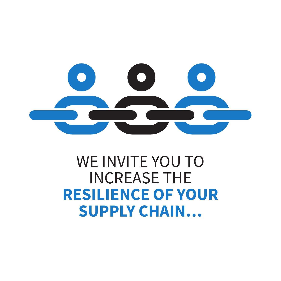

# WE INVITE YOU TO INCREASE THE **RESILIENCE OF YOUR SUPPLY CHAIN…**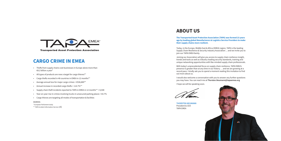### **ABOUT US**

#### **The Transported Asset Protection Association (TAPA) was formed 23 years ago by leading global Manufacturers & Logistics Service Providers to make their supply chains more resilient.**

Today, in the Europe, Middle East & Africa (EMEA) region, TAPA is the leading Supply Chain Resilience & Security industry Association ... and we invite you to join our TAPA EMEA family.

Joining our Association will give you access to supply chain resilience insight, trends and tools as well as industry-leading security standards, training and unique networking opportunities with like-minded supply chain professionals.

With today's unprecedented focus on supply chain resilience, TAPA EMEA's presence is greater than at any time in our history … and we are growing at a record pace. I kindly ask you to spend a moment reading this invitation to find out more about us.

I would also welcome a conversation with you to answer any further questions you may have. You can reach me at **Thorsten.Neumann@tapaemea.org**

I hope we will be speaking soon.

**THORSTEN NEUMANN** President & CEO TAPA EMEA





### **CARGO CRIME IN EMEA**

- Thefts from supply chains cost businesses in Europe alone more than €8.2 billion a year\*
- All types of products are now a target for cargo thieves\*\*
- Cargo thefts recorded in 48 countries in EMEA in 12 months\*\*
- Average annual loss for major cargo crimes =  $€536,889**$
- Annual increase in recorded cargo thefts =  $114.7\%$ \*\*
- Supply chain theft incidents reported to TAPA in EMEA in 12 months\*\* = 8,548
- Year-on-year rise in crimes involving trucks in unsecured parking places = 83.7%
- Cargo thieves are targeting all modes of transportation & facilities

#### **SOURCES:**

Service (II**S**) \* European Parliament study \*\* TAPA Incident Information Service (IIS)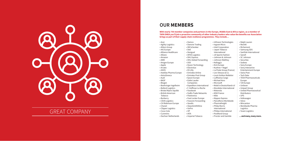

### GREAT COMPANY

- Acer Agility Logistics Ahlers Group AIG Europe Alliance Healthcare • Allianz<br>• Amazon<br>• AMD<br>• Amgen Europe<br>• Apple<br>• ASOS<br>• Astellas Pharma Europe • AstraZeneca • Audi • BASF • Biogen • Boehringer Ingelheim • Bolloré Logistics • Bristol Myers Squibb • British American Tobacco • Burberry • CEVA Logistics • CH Robinson Europe • Chanel • Clipper Logistics • Coca-Cola • Cummins • Dachser Netherlands • Electrolux • Eli Lilly • Emirates Airline • Emirates Post Group • Geodis<br>• GlaxoSmithKline<br>• GoPro<br>• HP<br>• Imperial Tobacco
- Damone Trading<br>• DB Schenker<br>• Dell<br>• Desigual<br>• DFDS Logistics<br>• DHL Express<br>• DHL Global Forwarding
	-
	- DSV Dyson Technology
	-
	-
	-
	-
	- Epson Europe Estée Lauder
	- Companies
	- Expeditors International
	- F. Hoffman La Roche
	-
	- Facebook FedEx Trade Networks
	- Flextronics Foot Locker Europe
	-
	- Foxconn Forwarding
		-
		-
		-
		-
		-
	-

- Infineon Technologies
- Ingram Micro<br>• Intel Corporation
- 
- Japan Tobacco International
- 
- JD Sports Fashion Johnson & Johnson
- 
- 
- 
- 
- Kellogg's<br>• KLG Europe<br>• Kuehne + Nagel<br>• La Poste Group (France)<br>• Levi Strauss & Co.
- 
- Louis Vuitton Malletier
- Lufthansa Cargo
- Michael Kors
- Microsoft
- Mobil in Deutschland e.V
- Mondelez International
- 
- 
- 
- 
- Motorola MSD France Nike Nippon Express Parcelforce Worldwide
- Pharmafreight Philip Morris
- International
- Philips International
- 
- PostNord Group<br>• Procter and Gamble
- Ralph Lauren<br>• Reckitt<br>• Richemont
- 
- 
- 
- Samsung SDS<br>• SanDisk International
- Sanofi
- 
- 
- 
- 
- SC Johnson Securitas Sodexo Sony Europe Sony Interactive Entertainment Europe<br>• Swiss Post
- 
- 
- Tech Data<br>• TEVA Pharmaceuticals Europe
- 
- 
- 
- TJX Europe Unilever Unipart Group United Pharmaceutical Distributors
- 
- 
- 
- 
- UPS Volkswagen Volvo Wincanton Worldwide Pharma Logistics
- Yusen Logistics
- **... and many, many more.**

### **OUR MEMBERS**

**With nearly 750 member companies and partners in the Europe, Middle East & Africa region, as a member of TAPA EMEA you'll join a proactive community of other industry leaders who value the benefits our Association brings as part of their supply chain resilience programmes. They include…**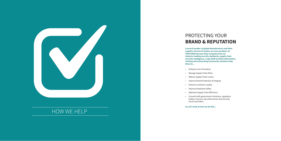## PROTECTING YOUR **BRAND & REPUTATION**

**A record number of global Manufacturers and their Logistics Service Providers are now members of TAPA EMEA because they recognise how our industry-leading security standards, supply chain security intelligence, cargo theft incident information, training and networking community solutions help them to…**

- Enhance Loss Prevention
- Manage Supply Chain Risks<br>• Reduce Supply Chain Losses
- 
- Improve Brand Protection & Integrity
- Enhance Customer Loyalty
- Improve Employee Safety
- Optimise Supply Chain Efficiency
- Connect with government ministries, regulatory bodies, insurers, law enforcement and security service providers

### **So, let's look at how we do that…**



### HOW WE HELP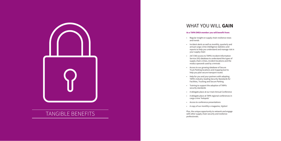

## TANGIBLE BENEFITS provided and resident the control of the structure of the structure of the structure of the structure of the structure of the structure of the structure of the structure of the structure of the structure

### WHAT YOU WILL **GAIN**

### **As a TAPA EMEA member you will benefit from:**

- Regular insight on supply chain resilience news and trends
- Incident alerts as well as monthly, quarterly and annual cargo crime intelligence statistics and reports to help you understand and manage risk in your supply chain
- 24/7/365 access to TAPA's Incident Information Service (IIS) database to understand the types of supply chain crimes, incident locations and the modus operandi used by criminals
- Access to our growing database of Secure Truck Parking locations and mapping tool to help you plan secure transport routes
- Help for you and your partners with adopting TAPA's industry-leading Security Standards for Facilities, Trucking and Secure Parking
- Training to support the adoption of TAPA's security standards
- A delegate place at our main Annual Conference<br>• A delegate place at TAPA regional conferences in
- cargo crime 'hotspots'
- Access to conference presentations
- A copy of our monthly e-magazine, *Vigilant*

Plus, the unique opportunity to network and engage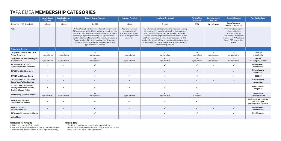|                                                                                                                           | <b>Manufacturers/</b><br><b>Shippers</b> | <b>Logistics Service</b><br><b>Providers</b> | <b>Security Service Providers</b>                                                                                                                                                                                                                                                                                                                                                                                                                                                                                     | <b>Insurance Providers</b>                                                                                                | <b>Consultants (No product)</b>                                                                                                                                                                                                                                                                                                                                                                                                                                                                    | <b>Parking Place</b><br><b>Operators</b> | <b>Law Enforcement</b><br><b>Agencies</b> | <b>Associate Partners</b>                                                                                                                                                                 | <b>Non-Member Costs</b>                                                         |
|---------------------------------------------------------------------------------------------------------------------------|------------------------------------------|----------------------------------------------|-----------------------------------------------------------------------------------------------------------------------------------------------------------------------------------------------------------------------------------------------------------------------------------------------------------------------------------------------------------------------------------------------------------------------------------------------------------------------------------------------------------------------|---------------------------------------------------------------------------------------------------------------------------|----------------------------------------------------------------------------------------------------------------------------------------------------------------------------------------------------------------------------------------------------------------------------------------------------------------------------------------------------------------------------------------------------------------------------------------------------------------------------------------------------|------------------------------------------|-------------------------------------------|-------------------------------------------------------------------------------------------------------------------------------------------------------------------------------------------|---------------------------------------------------------------------------------|
| Annual Fee (+ VAT if applicable)                                                                                          | € 2,000                                  | € 2,000                                      | €4,000                                                                                                                                                                                                                                                                                                                                                                                                                                                                                                                | € 2,000                                                                                                                   | € 1,000                                                                                                                                                                                                                                                                                                                                                                                                                                                                                            | € 750                                    | Free of charge                            | Free of charge or<br>voluntary contribution                                                                                                                                               |                                                                                 |
| Note:                                                                                                                     |                                          |                                              | TAPA EMEA accepts a limited number of Security Service Provider<br>(SSP) companies which specialise in supply chain security and make<br>this specialty their core business objective. TAPA aims to achieve as<br>wide a range as possible of knowledge and experience from SSP<br>members to benefit its Manufacturer/Shipper and Logistics Service<br>Provider members. SSPs are not permitted to sell their products<br>of services in TAPA EMEA meetings or events unless directly<br>approached by TAPA members. | Applicants must have<br>Insurance or Legal<br>specialists in supply chain,<br>logistics, transportation or<br>marine law. | TAPA EMEA accepts a limited number of companies conducting<br>Consultant services specialising in supply chain security, and<br>which make this specialty their core business objective. No<br>Consultant members are permitted to sell their services in TAPA<br>EMEA meetings or events, unless directly approached by TAPA<br>members. Consultants offering any security products, installations<br>or software solutions will be considered as a SSP and moved to<br>this membership category. |                                          |                                           | Only relevant supply chain<br>resilience stakeholder<br>Associations will be<br>considered. No membership<br>is issued - but TAPA Associate<br>Partner (TAP) status will be<br>confirmed. |                                                                                 |
| <b>Membership Benefits</b>                                                                                                |                                          |                                              |                                                                                                                                                                                                                                                                                                                                                                                                                                                                                                                       |                                                                                                                           |                                                                                                                                                                                                                                                                                                                                                                                                                                                                                                    |                                          |                                           |                                                                                                                                                                                           |                                                                                 |
| Delegate fee for main TAPA EMEA<br><b>Annual Conference</b>                                                               | х3<br>representatives                    | x3<br>representatives                        | x2<br>representatives                                                                                                                                                                                                                                                                                                                                                                                                                                                                                                 | x3<br>representatives                                                                                                     | x1<br>representative                                                                                                                                                                                                                                                                                                                                                                                                                                                                               | x1<br>representative                     | x1<br>representative                      | x2<br>representatives                                                                                                                                                                     | €999.00<br>per delegate                                                         |
| Delegate fee for TAPA EMEA Region-<br>al Conferences                                                                      | x3<br>representatives                    | x3<br>representatives                        | x2<br>representatives                                                                                                                                                                                                                                                                                                                                                                                                                                                                                                 | x3<br>representatives                                                                                                     | x1<br>representative                                                                                                                                                                                                                                                                                                                                                                                                                                                                               | x1<br>representative                     | x1<br>representative                      | x2<br>representatives                                                                                                                                                                     | €350.00<br>per delegate per event                                               |
| 24/7/365 Access to TAPA's<br><b>Incident Information Service (IIS)</b>                                                    | $\checkmark$                             | $\checkmark$                                 | $\checkmark$                                                                                                                                                                                                                                                                                                                                                                                                                                                                                                          | ✓                                                                                                                         |                                                                                                                                                                                                                                                                                                                                                                                                                                                                                                    | $\checkmark$                             | $\checkmark$                              | $\checkmark$                                                                                                                                                                              | Not available to<br>non-members                                                 |
| <b>TAPA EMEA IIS Incident Alerts</b>                                                                                      | $\checkmark$                             | $\checkmark$                                 | $\checkmark$                                                                                                                                                                                                                                                                                                                                                                                                                                                                                                          | $\checkmark$                                                                                                              | $\checkmark$                                                                                                                                                                                                                                                                                                                                                                                                                                                                                       | $\checkmark$                             | $\checkmark$                              | $\checkmark$                                                                                                                                                                              | Not available to<br>non-members                                                 |
| <b>TAPA EMEA IIS Annual Report</b>                                                                                        | $\checkmark$                             | $\checkmark$                                 | $\checkmark$                                                                                                                                                                                                                                                                                                                                                                                                                                                                                                          | $\checkmark$                                                                                                              | $\checkmark$                                                                                                                                                                                                                                                                                                                                                                                                                                                                                       | $\checkmark$                             | $\checkmark$                              | $\checkmark$                                                                                                                                                                              | €999.00                                                                         |
| 24/7/365 Access to TAPA EMEA's<br><b>Secure Truck Parking Database</b>                                                    | $\checkmark$                             | $\checkmark$                                 | $\checkmark$                                                                                                                                                                                                                                                                                                                                                                                                                                                                                                          | ✓                                                                                                                         | $\checkmark$                                                                                                                                                                                                                                                                                                                                                                                                                                                                                       | $\checkmark$                             | $\checkmark$                              | $\checkmark$                                                                                                                                                                              | Not available to<br>non-members                                                 |
| <b>Access to TAPA's Supply Chain</b><br><b>Security Standards for Facilities,</b><br><b>Trucking &amp; Secure Parking</b> |                                          | $\checkmark$                                 | $\checkmark$                                                                                                                                                                                                                                                                                                                                                                                                                                                                                                          | $\checkmark$                                                                                                              |                                                                                                                                                                                                                                                                                                                                                                                                                                                                                                    | $\checkmark$                             |                                           |                                                                                                                                                                                           | Free to relevant<br>companies                                                   |
| <b>TAPA Security Standards Training</b>                                                                                   | x3<br>representatives*                   | x3<br>representatives                        | x2<br>representatives                                                                                                                                                                                                                                                                                                                                                                                                                                                                                                 | x3<br>representatives                                                                                                     | x1<br>representative                                                                                                                                                                                                                                                                                                                                                                                                                                                                               | x1<br>PSR training                       |                                           |                                                                                                                                                                                           | €1,499.00 per<br>person per course                                              |
| <b>TAPA Security Standards</b><br><b>Certification Fee Included</b>                                                       |                                          | $\checkmark$                                 | n/a                                                                                                                                                                                                                                                                                                                                                                                                                                                                                                                   | n/a                                                                                                                       | n/a                                                                                                                                                                                                                                                                                                                                                                                                                                                                                                | $\checkmark$                             |                                           |                                                                                                                                                                                           | €499.00 per IAB certificate<br>or €250.00 per<br>self-certification certificate |
| <b>TAPA Supply Chain</b><br><b>Resilience Webinars</b>                                                                    | $\checkmark$                             | $\checkmark$                                 | $\checkmark$                                                                                                                                                                                                                                                                                                                                                                                                                                                                                                          | $\checkmark$                                                                                                              | $\checkmark$                                                                                                                                                                                                                                                                                                                                                                                                                                                                                       | $\checkmark$                             | $\checkmark$                              | $\checkmark$                                                                                                                                                                              | Not available to<br>non-members                                                 |
| TAPA's monthly e-magazine, Vigilant                                                                                       | $\checkmark$                             | $\checkmark$                                 | $\checkmark$                                                                                                                                                                                                                                                                                                                                                                                                                                                                                                          | $\checkmark$                                                                                                              | $\checkmark$                                                                                                                                                                                                                                                                                                                                                                                                                                                                                       | $\checkmark$                             | $\checkmark$                              | $\checkmark$                                                                                                                                                                              | €120.00 per year                                                                |
| <b>Voting Rights</b>                                                                                                      |                                          | ✓                                            |                                                                                                                                                                                                                                                                                                                                                                                                                                                                                                                       | $\checkmark$                                                                                                              |                                                                                                                                                                                                                                                                                                                                                                                                                                                                                                    |                                          |                                           |                                                                                                                                                                                           |                                                                                 |

### TAPA EMEA **MEMBERSHIP CATEGORIES**

### **MEMBERSHIP FEE PAYMENTS**

• All fees are subject to VAT, if applicable. • Fees must be paid within 2 months of invoice or membership lapses.

• All membership correspondence is to named representatives only.

#### **TRAINING NOTE:**

• \* Outside of the training representatives allocation included in the

membership fee, TAPA members can buy extra places on the Association's

training courses at a cost of €200.00 per person.